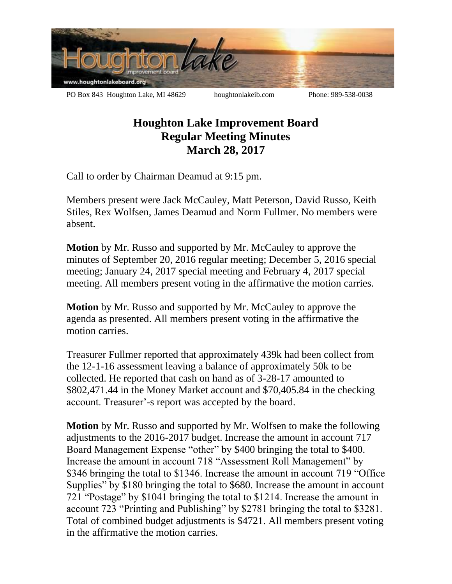

## **Houghton Lake Improvement Board Regular Meeting Minutes March 28, 2017**

Call to order by Chairman Deamud at 9:15 pm.

Members present were Jack McCauley, Matt Peterson, David Russo, Keith Stiles, Rex Wolfsen, James Deamud and Norm Fullmer. No members were absent.

**Motion** by Mr. Russo and supported by Mr. McCauley to approve the minutes of September 20, 2016 regular meeting; December 5, 2016 special meeting; January 24, 2017 special meeting and February 4, 2017 special meeting. All members present voting in the affirmative the motion carries.

**Motion** by Mr. Russo and supported by Mr. McCauley to approve the agenda as presented. All members present voting in the affirmative the motion carries.

Treasurer Fullmer reported that approximately 439k had been collect from the 12-1-16 assessment leaving a balance of approximately 50k to be collected. He reported that cash on hand as of 3-28-17 amounted to \$802,471.44 in the Money Market account and \$70,405.84 in the checking account. Treasurer'-s report was accepted by the board.

**Motion** by Mr. Russo and supported by Mr. Wolfsen to make the following adjustments to the 2016-2017 budget. Increase the amount in account 717 Board Management Expense "other" by \$400 bringing the total to \$400. Increase the amount in account 718 "Assessment Roll Management" by \$346 bringing the total to \$1346. Increase the amount in account 719 "Office Supplies" by \$180 bringing the total to \$680. Increase the amount in account 721 "Postage" by \$1041 bringing the total to \$1214. Increase the amount in account 723 "Printing and Publishing" by \$2781 bringing the total to \$3281. Total of combined budget adjustments is \$4721. All members present voting in the affirmative the motion carries.